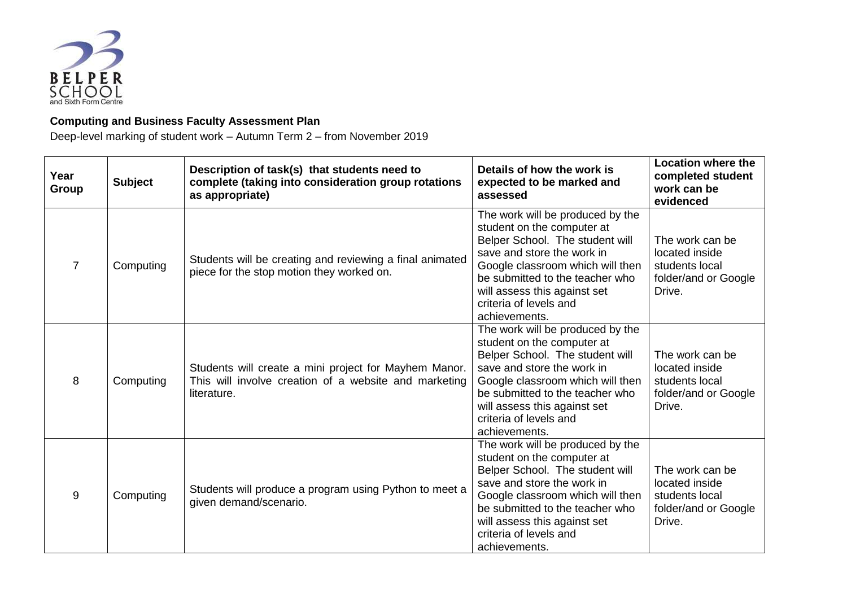

## **Computing and Business Faculty Assessment Plan**

Deep-level marking of student work – Autumn Term 2 – from November 2019

| Year<br>Group | <b>Subject</b> | Description of task(s) that students need to<br>complete (taking into consideration group rotations<br>as appropriate)        | Details of how the work is<br>expected to be marked and<br>assessed                                                                                                                                                                                                               | <b>Location where the</b><br>completed student<br>work can be<br>evidenced            |
|---------------|----------------|-------------------------------------------------------------------------------------------------------------------------------|-----------------------------------------------------------------------------------------------------------------------------------------------------------------------------------------------------------------------------------------------------------------------------------|---------------------------------------------------------------------------------------|
| 7             | Computing      | Students will be creating and reviewing a final animated<br>piece for the stop motion they worked on.                         | The work will be produced by the<br>student on the computer at<br>Belper School. The student will<br>save and store the work in<br>Google classroom which will then<br>be submitted to the teacher who<br>will assess this against set<br>criteria of levels and<br>achievements. | The work can be<br>located inside<br>students local<br>folder/and or Google<br>Drive. |
| 8             | Computing      | Students will create a mini project for Mayhem Manor.<br>This will involve creation of a website and marketing<br>literature. | The work will be produced by the<br>student on the computer at<br>Belper School. The student will<br>save and store the work in<br>Google classroom which will then<br>be submitted to the teacher who<br>will assess this against set<br>criteria of levels and<br>achievements. | The work can be<br>located inside<br>students local<br>folder/and or Google<br>Drive. |
| 9             | Computing      | Students will produce a program using Python to meet a<br>given demand/scenario.                                              | The work will be produced by the<br>student on the computer at<br>Belper School. The student will<br>save and store the work in<br>Google classroom which will then<br>be submitted to the teacher who<br>will assess this against set<br>criteria of levels and<br>achievements. | The work can be<br>located inside<br>students local<br>folder/and or Google<br>Drive. |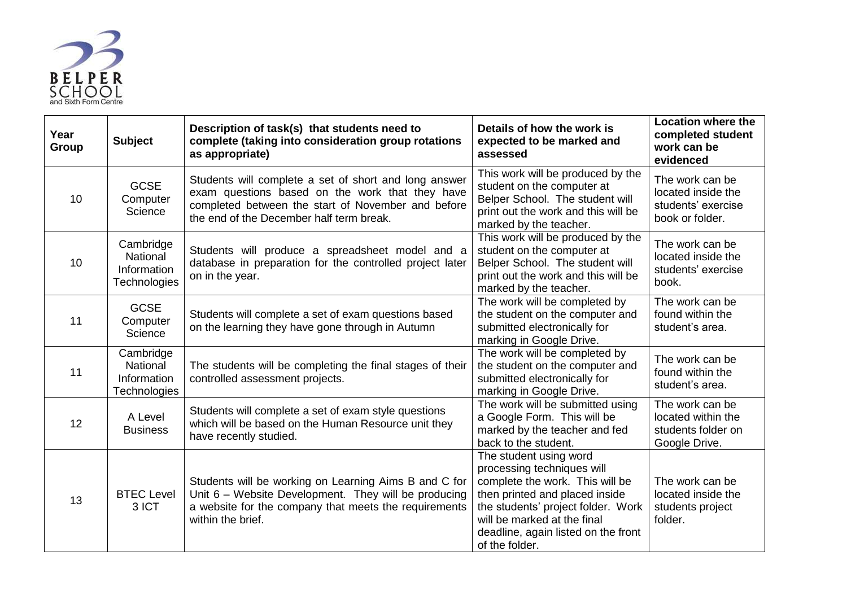

| Year<br>Group | <b>Subject</b>                                       | Description of task(s) that students need to<br>complete (taking into consideration group rotations<br>as appropriate)                                                                                     | Details of how the work is<br>expected to be marked and<br>assessed                                                                                                                                                                                     | <b>Location where the</b><br>completed student<br>work can be<br>evidenced     |
|---------------|------------------------------------------------------|------------------------------------------------------------------------------------------------------------------------------------------------------------------------------------------------------------|---------------------------------------------------------------------------------------------------------------------------------------------------------------------------------------------------------------------------------------------------------|--------------------------------------------------------------------------------|
| 10            | <b>GCSE</b><br>Computer<br>Science                   | Students will complete a set of short and long answer<br>exam questions based on the work that they have<br>completed between the start of November and before<br>the end of the December half term break. | This work will be produced by the<br>student on the computer at<br>Belper School. The student will<br>print out the work and this will be<br>marked by the teacher.                                                                                     | The work can be<br>located inside the<br>students' exercise<br>book or folder. |
| 10            | Cambridge<br>National<br>Information<br>Technologies | Students will produce a spreadsheet model and a<br>database in preparation for the controlled project later<br>on in the year.                                                                             | This work will be produced by the<br>student on the computer at<br>Belper School. The student will<br>print out the work and this will be<br>marked by the teacher.                                                                                     | The work can be<br>located inside the<br>students' exercise<br>book.           |
| 11            | <b>GCSE</b><br>Computer<br>Science                   | Students will complete a set of exam questions based<br>on the learning they have gone through in Autumn                                                                                                   | The work will be completed by<br>the student on the computer and<br>submitted electronically for<br>marking in Google Drive.                                                                                                                            | The work can be<br>found within the<br>student's area.                         |
| 11            | Cambridge<br>National<br>Information<br>Technologies | The students will be completing the final stages of their<br>controlled assessment projects.                                                                                                               | The work will be completed by<br>the student on the computer and<br>submitted electronically for<br>marking in Google Drive.                                                                                                                            | The work can be<br>found within the<br>student's area.                         |
| 12            | A Level<br><b>Business</b>                           | Students will complete a set of exam style questions<br>which will be based on the Human Resource unit they<br>have recently studied.                                                                      | The work will be submitted using<br>a Google Form. This will be<br>marked by the teacher and fed<br>back to the student.                                                                                                                                | The work can be<br>located within the<br>students folder on<br>Google Drive.   |
| 13            | <b>BTEC Level</b><br>3 ICT                           | Students will be working on Learning Aims B and C for<br>Unit 6 - Website Development. They will be producing<br>a website for the company that meets the requirements<br>within the brief.                | The student using word<br>processing techniques will<br>complete the work. This will be<br>then printed and placed inside<br>the students' project folder. Work<br>will be marked at the final<br>deadline, again listed on the front<br>of the folder. | The work can be<br>located inside the<br>students project<br>folder.           |